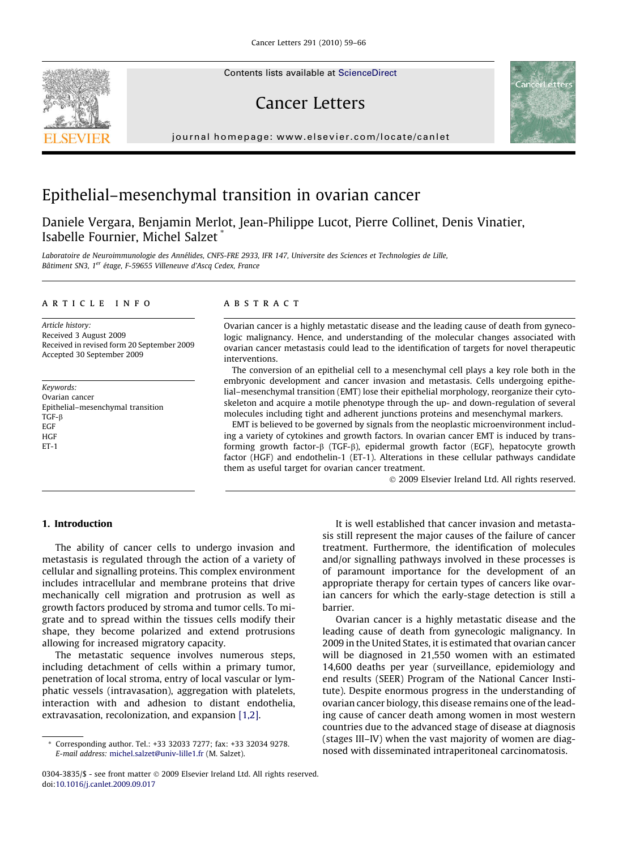Contents lists available at [ScienceDirect](http://www.sciencedirect.com/science/journal/03043835)

# Cancer Letters

journal homepage: [www.elsevier.com/locate/canlet](http://www.elsevier.com/locate/canlet)

# Epithelial–mesenchymal transition in ovarian cancer

Daniele Vergara, Benjamin Merlot, Jean-Philippe Lucot, Pierre Collinet, Denis Vinatier, Isabelle Fournier, Michel Salzet

Laboratoire de Neuroimmunologie des Annélides, CNFS-FRE 2933, IFR 147, Universite des Sciences et Technologies de Lille, Bâtiment SN3, 1<sup>er</sup> étage, F-59655 Villeneuve d'Ascq Cedex, France

#### article info

Article history: Received 3 August 2009 Received in revised form 20 September 2009 Accepted 30 September 2009

Keywords: Ovarian cancer Epithelial–mesenchymal transition TGF- $\beta$ EGF **HGF** ET-1

## **ABSTRACT**

Ovarian cancer is a highly metastatic disease and the leading cause of death from gynecologic malignancy. Hence, and understanding of the molecular changes associated with ovarian cancer metastasis could lead to the identification of targets for novel therapeutic interventions.

The conversion of an epithelial cell to a mesenchymal cell plays a key role both in the embryonic development and cancer invasion and metastasis. Cells undergoing epithelial–mesenchymal transition (EMT) lose their epithelial morphology, reorganize their cytoskeleton and acquire a motile phenotype through the up- and down-regulation of several molecules including tight and adherent junctions proteins and mesenchymal markers.

EMT is believed to be governed by signals from the neoplastic microenvironment including a variety of cytokines and growth factors. In ovarian cancer EMT is induced by transforming growth factor- $\beta$  (TGF- $\beta$ ), epidermal growth factor (EGF), hepatocyte growth factor (HGF) and endothelin-1 (ET-1). Alterations in these cellular pathways candidate them as useful target for ovarian cancer treatment.

- 2009 Elsevier Ireland Ltd. All rights reserved.

## 1. Introduction

The ability of cancer cells to undergo invasion and metastasis is regulated through the action of a variety of cellular and signalling proteins. This complex environment includes intracellular and membrane proteins that drive mechanically cell migration and protrusion as well as growth factors produced by stroma and tumor cells. To migrate and to spread within the tissues cells modify their shape, they become polarized and extend protrusions allowing for increased migratory capacity.

The metastatic sequence involves numerous steps, including detachment of cells within a primary tumor, penetration of local stroma, entry of local vascular or lymphatic vessels (intravasation), aggregation with platelets, interaction with and adhesion to distant endothelia, extravasation, recolonization, and expansion [\[1,2\]](#page-5-0).

It is well established that cancer invasion and metastasis still represent the major causes of the failure of cancer treatment. Furthermore, the identification of molecules and/or signalling pathways involved in these processes is of paramount importance for the development of an appropriate therapy for certain types of cancers like ovarian cancers for which the early-stage detection is still a barrier.

Ovarian cancer is a highly metastatic disease and the leading cause of death from gynecologic malignancy. In 2009 in the United States, it is estimated that ovarian cancer will be diagnosed in 21,550 women with an estimated 14,600 deaths per year (surveillance, epidemiology and end results (SEER) Program of the National Cancer Institute). Despite enormous progress in the understanding of ovarian cancer biology, this disease remains one of the leading cause of cancer death among women in most western countries due to the advanced stage of disease at diagnosis (stages III–IV) when the vast majority of women are diagnosed with disseminated intraperitoneal carcinomatosis.





<sup>\*</sup> Corresponding author. Tel.: +33 32033 7277; fax: +33 32034 9278. E-mail address: [michel.salzet@univ-lille1.fr](mailto:michel.salzet@univ-lille1.fr) (M. Salzet).

<sup>0304-3835/\$ -</sup> see front matter © 2009 Elsevier Ireland Ltd. All rights reserved. doi:[10.1016/j.canlet.2009.09.017](http://dx.doi.org/10.1016/j.canlet.2009.09.017)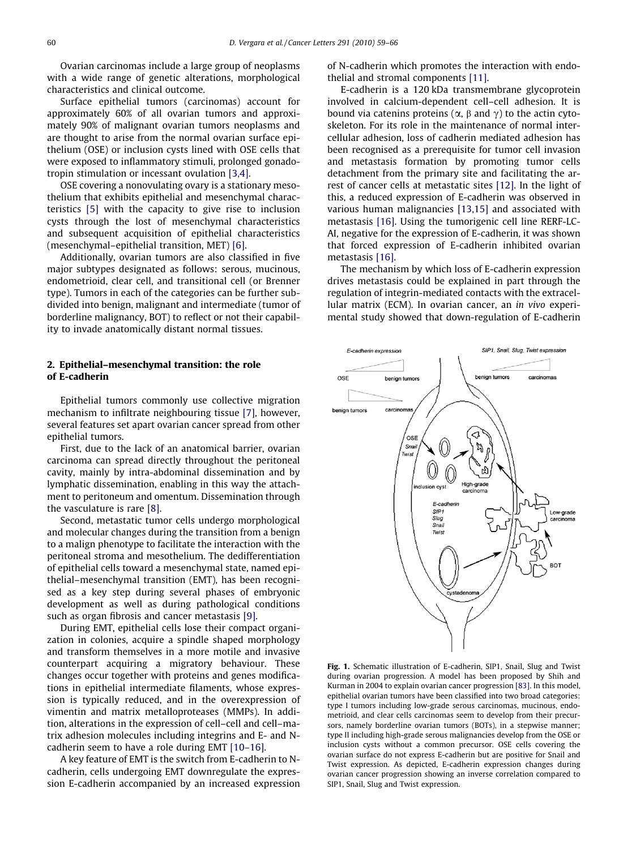<span id="page-1-0"></span>Ovarian carcinomas include a large group of neoplasms with a wide range of genetic alterations, morphological characteristics and clinical outcome.

Surface epithelial tumors (carcinomas) account for approximately 60% of all ovarian tumors and approximately 90% of malignant ovarian tumors neoplasms and are thought to arise from the normal ovarian surface epithelium (OSE) or inclusion cysts lined with OSE cells that were exposed to inflammatory stimuli, prolonged gonadotropin stimulation or incessant ovulation [\[3,4\]](#page-5-0).

OSE covering a nonovulating ovary is a stationary mesothelium that exhibits epithelial and mesenchymal characteristics [\[5\]](#page-5-0) with the capacity to give rise to inclusion cysts through the lost of mesenchymal characteristics and subsequent acquisition of epithelial characteristics (mesenchymal–epithelial transition, MET) [\[6\].](#page-5-0)

Additionally, ovarian tumors are also classified in five major subtypes designated as follows: serous, mucinous, endometrioid, clear cell, and transitional cell (or Brenner type). Tumors in each of the categories can be further subdivided into benign, malignant and intermediate (tumor of borderline malignancy, BOT) to reflect or not their capability to invade anatomically distant normal tissues.

## 2. Epithelial–mesenchymal transition: the role of E-cadherin

Epithelial tumors commonly use collective migration mechanism to infiltrate neighbouring tissue [\[7\],](#page-5-0) however, several features set apart ovarian cancer spread from other epithelial tumors.

First, due to the lack of an anatomical barrier, ovarian carcinoma can spread directly throughout the peritoneal cavity, mainly by intra-abdominal dissemination and by lymphatic dissemination, enabling in this way the attachment to peritoneum and omentum. Dissemination through the vasculature is rare [\[8\]](#page-5-0).

Second, metastatic tumor cells undergo morphological and molecular changes during the transition from a benign to a malign phenotype to facilitate the interaction with the peritoneal stroma and mesothelium. The dedifferentiation of epithelial cells toward a mesenchymal state, named epithelial–mesenchymal transition (EMT), has been recognised as a key step during several phases of embryonic development as well as during pathological conditions such as organ fibrosis and cancer metastasis [\[9\]](#page-5-0).

During EMT, epithelial cells lose their compact organization in colonies, acquire a spindle shaped morphology and transform themselves in a more motile and invasive counterpart acquiring a migratory behaviour. These changes occur together with proteins and genes modifications in epithelial intermediate filaments, whose expression is typically reduced, and in the overexpression of vimentin and matrix metalloproteases (MMPs). In addition, alterations in the expression of cell–cell and cell–matrix adhesion molecules including integrins and E- and Ncadherin seem to have a role during EMT [\[10–16\].](#page-5-0)

A key feature of EMT is the switch from E-cadherin to Ncadherin, cells undergoing EMT downregulate the expression E-cadherin accompanied by an increased expression of N-cadherin which promotes the interaction with endothelial and stromal components [\[11\].](#page-5-0)

E-cadherin is a 120 kDa transmembrane glycoprotein involved in calcium-dependent cell–cell adhesion. It is bound via catenins proteins ( $\alpha$ ,  $\beta$  and  $\gamma$ ) to the actin cytoskeleton. For its role in the maintenance of normal intercellular adhesion, loss of cadherin mediated adhesion has been recognised as a prerequisite for tumor cell invasion and metastasis formation by promoting tumor cells detachment from the primary site and facilitating the arrest of cancer cells at metastatic sites [\[12\]](#page-5-0). In the light of this, a reduced expression of E-cadherin was observed in various human malignancies [\[13,15\]](#page-5-0) and associated with metastasis [\[16\].](#page-5-0) Using the tumorigenic cell line RERF-LC-AI, negative for the expression of E-cadherin, it was shown that forced expression of E-cadherin inhibited ovarian metastasis [\[16\]](#page-5-0).

The mechanism by which loss of E-cadherin expression drives metastasis could be explained in part through the regulation of integrin-mediated contacts with the extracellular matrix (ECM). In ovarian cancer, an in vivo experimental study showed that down-regulation of E-cadherin



Fig. 1. Schematic illustration of E-cadherin, SIP1, Snail, Slug and Twist during ovarian progression. A model has been proposed by Shih and Kurman in 2004 to explain ovarian cancer progression [\[83\]](#page-7-0). In this model, epithelial ovarian tumors have been classified into two broad categories: type I tumors including low-grade serous carcinomas, mucinous, endometrioid, and clear cells carcinomas seem to develop from their precursors, namely borderline ovarian tumors (BOTs), in a stepwise manner; type II including high-grade serous malignancies develop from the OSE or inclusion cysts without a common precursor. OSE cells covering the ovarian surface do not express E-cadherin but are positive for Snail and Twist expression. As depicted, E-cadherin expression changes during ovarian cancer progression showing an inverse correlation compared to SIP1, Snail, Slug and Twist expression.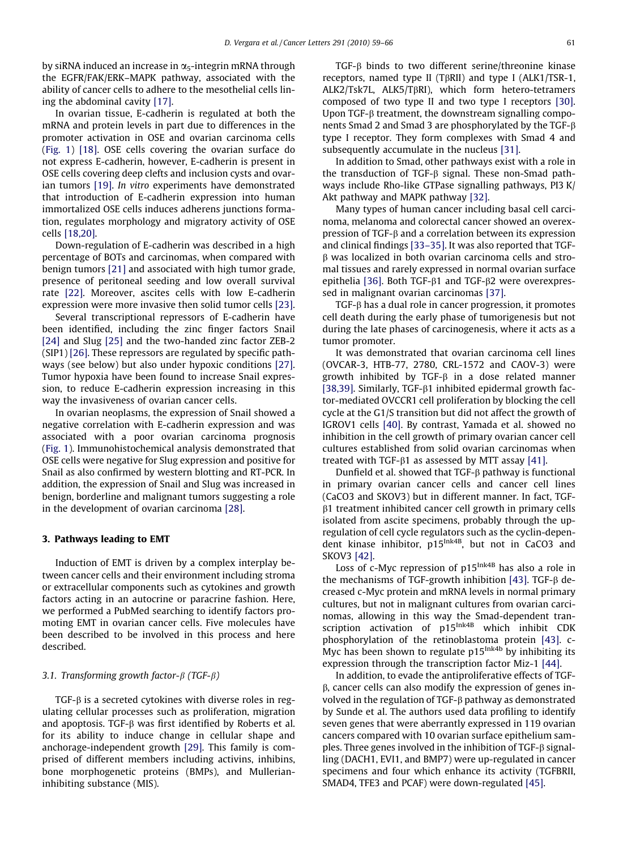by siRNA induced an increase in  $\alpha_5$ -integrin mRNA through the EGFR/FAK/ERK–MAPK pathway, associated with the ability of cancer cells to adhere to the mesothelial cells lining the abdominal cavity [\[17\].](#page-5-0)

In ovarian tissue, E-cadherin is regulated at both the mRNA and protein levels in part due to differences in the promoter activation in OSE and ovarian carcinoma cells ([Fig. 1](#page-1-0)) [\[18\].](#page-5-0) OSE cells covering the ovarian surface do not express E-cadherin, however, E-cadherin is present in OSE cells covering deep clefts and inclusion cysts and ovarian tumors [\[19\].](#page-5-0) In vitro experiments have demonstrated that introduction of E-cadherin expression into human immortalized OSE cells induces adherens junctions formation, regulates morphology and migratory activity of OSE cells [\[18,20\]](#page-5-0).

Down-regulation of E-cadherin was described in a high percentage of BOTs and carcinomas, when compared with benign tumors [\[21\]](#page-5-0) and associated with high tumor grade, presence of peritoneal seeding and low overall survival rate [\[22\]](#page-5-0). Moreover, ascites cells with low E-cadherin expression were more invasive then solid tumor cells [\[23\]](#page-5-0).

Several transcriptional repressors of E-cadherin have been identified, including the zinc finger factors Snail [\[24\]](#page-5-0) and Slug [\[25\]](#page-5-0) and the two-handed zinc factor ZEB-2 (SIP1) [\[26\]](#page-5-0). These repressors are regulated by specific pathways (see below) but also under hypoxic conditions [\[27\]](#page-6-0). Tumor hypoxia have been found to increase Snail expression, to reduce E-cadherin expression increasing in this way the invasiveness of ovarian cancer cells.

In ovarian neoplasms, the expression of Snail showed a negative correlation with E-cadherin expression and was associated with a poor ovarian carcinoma prognosis ([Fig. 1](#page-1-0)). Immunohistochemical analysis demonstrated that OSE cells were negative for Slug expression and positive for Snail as also confirmed by western blotting and RT-PCR. In addition, the expression of Snail and Slug was increased in benign, borderline and malignant tumors suggesting a role in the development of ovarian carcinoma [\[28\]](#page-6-0).

## 3. Pathways leading to EMT

Induction of EMT is driven by a complex interplay between cancer cells and their environment including stroma or extracellular components such as cytokines and growth factors acting in an autocrine or paracrine fashion. Here, we performed a PubMed searching to identify factors promoting EMT in ovarian cancer cells. Five molecules have been described to be involved in this process and here described.

## 3.1. Transforming growth factor- $\beta$  (TGF- $\beta$ )

TGF- $\beta$  is a secreted cytokines with diverse roles in regulating cellular processes such as proliferation, migration and apoptosis. TGF- $\beta$  was first identified by Roberts et al. for its ability to induce change in cellular shape and anchorage-independent growth [\[29\].](#page-6-0) This family is comprised of different members including activins, inhibins, bone morphogenetic proteins (BMPs), and Mullerianinhibiting substance (MIS).

TGF-<sub>B</sub> binds to two different serine/threonine kinase receptors, named type II (TBRII) and type I (ALK1/TSR-1, ALK2/Tsk7L, ALK5/TßRI), which form hetero-tetramers composed of two type II and two type I receptors [\[30\]](#page-6-0). Upon TGF- $\beta$  treatment, the downstream signalling components Smad 2 and Smad 3 are phosphorylated by the TGF-b type I receptor. They form complexes with Smad 4 and subsequently accumulate in the nucleus [\[31\]](#page-6-0).

In addition to Smad, other pathways exist with a role in the transduction of TGF- $\beta$  signal. These non-Smad pathways include Rho-like GTPase signalling pathways, PI3 K/ Akt pathway and MAPK pathway [\[32\]](#page-6-0).

Many types of human cancer including basal cell carcinoma, melanoma and colorectal cancer showed an overexpression of TGF-b and a correlation between its expression and clinical findings [\[33–35\].](#page-6-0) It was also reported that TGF- $\beta$  was localized in both ovarian carcinoma cells and stromal tissues and rarely expressed in normal ovarian surface epithelia [\[36\]](#page-6-0). Both TGF- $\beta$ 1 and TGF- $\beta$ 2 were overexpressed in malignant ovarian carcinomas [\[37\]](#page-6-0).

TGF-b has a dual role in cancer progression, it promotes cell death during the early phase of tumorigenesis but not during the late phases of carcinogenesis, where it acts as a tumor promoter.

It was demonstrated that ovarian carcinoma cell lines (OVCAR-3, HTB-77, 2780, CRL-1572 and CAOV-3) were growth inhibited by  $TGF-\beta$  in a dose related manner [\[38,39\].](#page-6-0) Similarly, TGF- $\beta$ 1 inhibited epidermal growth factor-mediated OVCCR1 cell proliferation by blocking the cell cycle at the G1/S transition but did not affect the growth of IGROV1 cells [\[40\]](#page-6-0). By contrast, Yamada et al. showed no inhibition in the cell growth of primary ovarian cancer cell cultures established from solid ovarian carcinomas when treated with TGF- $\beta$ 1 as assessed by MTT assay [\[41\].](#page-6-0)

Dunfield et al. showed that TGF-b pathway is functional in primary ovarian cancer cells and cancer cell lines (CaCO3 and SKOV3) but in different manner. In fact, TGFb1 treatment inhibited cancer cell growth in primary cells isolated from ascite specimens, probably through the upregulation of cell cycle regulators such as the cyclin-dependent kinase inhibitor, p15<sup>Ink4B</sup>, but not in CaCO3 and SKOV3 [\[42\].](#page-6-0)

Loss of c-Myc repression of p15<sup>Ink4B</sup> has also a role in the mechanisms of TGF-growth inhibition  $[43]$ . TGF- $\beta$  decreased c-Myc protein and mRNA levels in normal primary cultures, but not in malignant cultures from ovarian carcinomas, allowing in this way the Smad-dependent transcription activation of p15Ink4B which inhibit CDK phosphorylation of the retinoblastoma protein [\[43\].](#page-6-0) c-Myc has been shown to regulate  $p15^{\text{Ink4b}}$  by inhibiting its expression through the transcription factor Miz-1 [\[44\]](#page-6-0).

In addition, to evade the antiproliferative effects of TGF- $\beta$ , cancer cells can also modify the expression of genes involved in the regulation of TGF- $\beta$  pathway as demonstrated by Sunde et al. The authors used data profiling to identify seven genes that were aberrantly expressed in 119 ovarian cancers compared with 10 ovarian surface epithelium samples. Three genes involved in the inhibition of TGF- $\beta$  signalling (DACH1, EVI1, and BMP7) were up-regulated in cancer specimens and four which enhance its activity (TGFBRII, SMAD4, TFE3 and PCAF) were down-regulated [\[45\]](#page-6-0).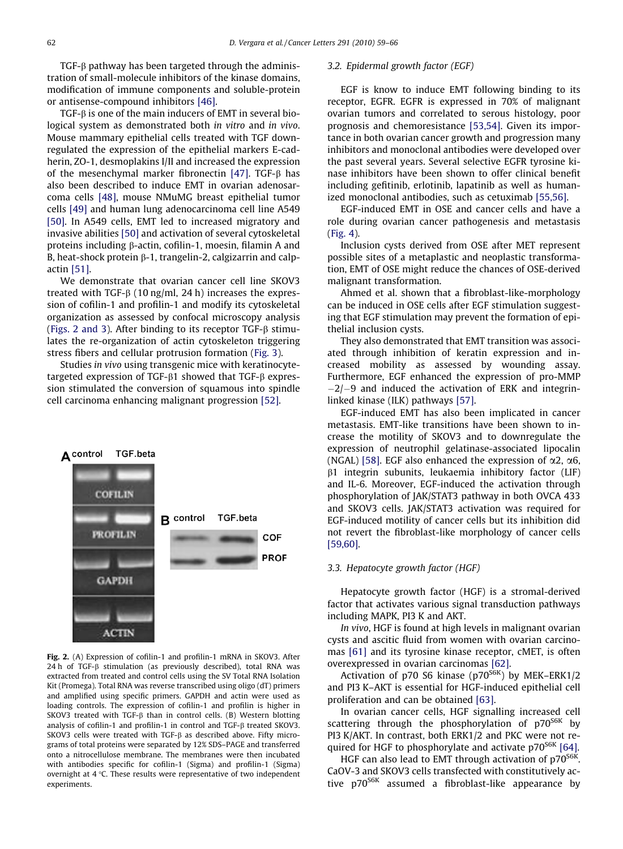$TGF-\beta$  pathway has been targeted through the administration of small-molecule inhibitors of the kinase domains, modification of immune components and soluble-protein or antisense-compound inhibitors [\[46\]](#page-6-0).

TGF-b is one of the main inducers of EMT in several biological system as demonstrated both in vitro and in vivo. Mouse mammary epithelial cells treated with TGF downregulated the expression of the epithelial markers E-cadherin, ZO-1, desmoplakins I/II and increased the expression of the mesenchymal marker fibronectin [\[47\]](#page-6-0). TGF-B has also been described to induce EMT in ovarian adenosarcoma cells [\[48\],](#page-6-0) mouse NMuMG breast epithelial tumor cells [\[49\]](#page-6-0) and human lung adenocarcinoma cell line A549 [\[50\].](#page-6-0) In A549 cells, EMT led to increased migratory and invasive abilities [\[50\]](#page-6-0) and activation of several cytoskeletal proteins including b-actin, cofilin-1, moesin, filamin A and B, heat-shock protein  $\beta$ -1, trangelin-2, calgizarrin and calpactin [\[51\].](#page-6-0)

We demonstrate that ovarian cancer cell line SKOV3 treated with TGF- $\beta$  (10 ng/ml, 24 h) increases the expression of cofilin-1 and profilin-1 and modify its cytoskeletal organization as assessed by confocal microscopy analysis (Figs. 2 and 3). After binding to its receptor  $TGF-B$  stimulates the re-organization of actin cytoskeleton triggering stress fibers and cellular protrusion formation [\(Fig. 3\)](#page-4-0).

Studies in vivo using transgenic mice with keratinocytetargeted expression of TGF- $\beta$ 1 showed that TGF- $\beta$  expression stimulated the conversion of squamous into spindle cell carcinoma enhancing malignant progression [\[52\].](#page-6-0)



Fig. 2. (A) Expression of cofilin-1 and profilin-1 mRNA in SKOV3. After 24 h of TGF- $\beta$  stimulation (as previously described), total RNA was extracted from treated and control cells using the SV Total RNA Isolation Kit (Promega). Total RNA was reverse transcribed using oligo (dT) primers and amplified using specific primers. GAPDH and actin were used as loading controls. The expression of cofilin-1 and profilin is higher in SKOV3 treated with TGF- $\beta$  than in control cells. (B) Western blotting analysis of cofilin-1 and profilin-1 in control and TGF- $\beta$  treated SKOV3. SKOV3 cells were treated with TGF-B as described above. Fifty micrograms of total proteins were separated by 12% SDS–PAGE and transferred onto a nitrocellulose membrane. The membranes were then incubated with antibodies specific for cofilin-1 (Sigma) and profilin-1 (Sigma) overnight at  $4^{\circ}$ C. These results were representative of two independent experiments.

# 3.2. Epidermal growth factor (EGF)

EGF is know to induce EMT following binding to its receptor, EGFR. EGFR is expressed in 70% of malignant ovarian tumors and correlated to serous histology, poor prognosis and chemoresistance [\[53,54\]](#page-6-0). Given its importance in both ovarian cancer growth and progression many inhibitors and monoclonal antibodies were developed over the past several years. Several selective EGFR tyrosine kinase inhibitors have been shown to offer clinical benefit including gefitinib, erlotinib, lapatinib as well as humanized monoclonal antibodies, such as cetuximab [\[55,56\]](#page-6-0).

EGF-induced EMT in OSE and cancer cells and have a role during ovarian cancer pathogenesis and metastasis [\(Fig. 4\)](#page-4-0).

Inclusion cysts derived from OSE after MET represent possible sites of a metaplastic and neoplastic transformation, EMT of OSE might reduce the chances of OSE-derived malignant transformation.

Ahmed et al. shown that a fibroblast-like-morphology can be induced in OSE cells after EGF stimulation suggesting that EGF stimulation may prevent the formation of epithelial inclusion cysts.

They also demonstrated that EMT transition was associated through inhibition of keratin expression and increased mobility as assessed by wounding assay. Furthermore, EGF enhanced the expression of pro-MMP  $-2$ / $-9$  and induced the activation of ERK and integrinlinked kinase (ILK) pathways [\[57\]](#page-6-0).

EGF-induced EMT has also been implicated in cancer metastasis. EMT-like transitions have been shown to increase the motility of SKOV3 and to downregulate the expression of neutrophil gelatinase-associated lipocalin (NGAL) [\[58\].](#page-6-0) EGF also enhanced the expression of  $\alpha$ 2,  $\alpha$ 6, b1 integrin subunits, leukaemia inhibitory factor (LIF) and IL-6. Moreover, EGF-induced the activation through phosphorylation of JAK/STAT3 pathway in both OVCA 433 and SKOV3 cells. JAK/STAT3 activation was required for EGF-induced motility of cancer cells but its inhibition did not revert the fibroblast-like morphology of cancer cells [\[59,60\].](#page-6-0)

### 3.3. Hepatocyte growth factor (HGF)

Hepatocyte growth factor (HGF) is a stromal-derived factor that activates various signal transduction pathways including MAPK, PI3 K and AKT.

In vivo, HGF is found at high levels in malignant ovarian cysts and ascitic fluid from women with ovarian carcinomas [\[61\]](#page-6-0) and its tyrosine kinase receptor, cMET, is often overexpressed in ovarian carcinomas [\[62\]](#page-6-0).

Activation of p70 S6 kinase (p70<sup>S6K</sup>) by MEK–ERK1/2 and PI3 K–AKT is essential for HGF-induced epithelial cell proliferation and can be obtained [\[63\].](#page-6-0)

In ovarian cancer cells, HGF signalling increased cell scattering through the phosphorylation of p70<sup>S6K</sup> by PI3 K/AKT. In contrast, both ERK1/2 and PKC were not re-quired for HGF to phosphorylate and activate p70<sup>S6K</sup> [\[64\].](#page-6-0)

HGF can also lead to EMT through activation of  $p70^{S6K}$ . CaOV-3 and SKOV3 cells transfected with constitutively active p70<sup>S6K</sup> assumed a fibroblast-like appearance by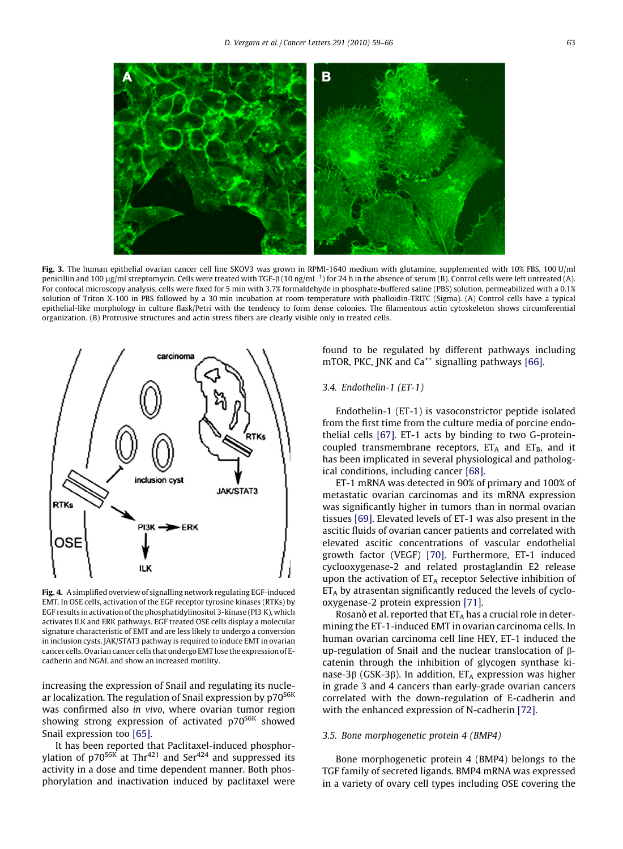<span id="page-4-0"></span>

Fig. 3. The human epithelial ovarian cancer cell line SKOV3 was grown in RPMI-1640 medium with glutamine, supplemented with 10% FBS, 100 U/ml penicillin and 100 µg/ml streptomycin. Cells were treated with TGF-ß (10 ng/ml $^{-1}$ ) for 24 h in the absence of serum (B). Control cells were left untreated (A). For confocal microscopy analysis, cells were fixed for 5 min with 3.7% formaldehyde in phosphate-buffered saline (PBS) solution, permeabilized with a 0.1% solution of Triton X-100 in PBS followed by a 30 min incubation at room temperature with phalloidin-TRITC (Sigma). (A) Control cells have a typical epithelial-like morphology in culture flask/Petri with the tendency to form dense colonies. The filamentous actin cytoskeleton shows circumferential organization. (B) Protrusive structures and actin stress fibers are clearly visible only in treated cells.



Fig. 4. A simplified overview of signalling network regulating EGF-induced EMT. In OSE cells, activation of the EGF receptor tyrosine kinases (RTKs) by EGF results in activation of the phosphatidylinositol 3-kinase (PI3 K), which activates ILK and ERK pathways. EGF treated OSE cells display a molecular signature characteristic of EMT and are less likely to undergo a conversion in inclusion cysts. JAK/STAT3 pathway is required to induce EMT in ovarian cancer cells. Ovarian cancer cells that undergo EMT lose the expression of Ecadherin and NGAL and show an increased motility.

increasing the expression of Snail and regulating its nuclear localization. The regulation of Snail expression by p70<sup>S6K</sup> was confirmed also in vivo, where ovarian tumor region showing strong expression of activated  $p70<sup>S6K</sup>$  showed Snail expression too [\[65\]](#page-6-0).

It has been reported that Paclitaxel-induced phosphorylation of  $p70^{56K}$  at Thr<sup>421</sup> and Ser<sup>424</sup> and suppressed its activity in a dose and time dependent manner. Both phosphorylation and inactivation induced by paclitaxel were found to be regulated by different pathways including mTOR, PKC, JNK and  $Ca^{++}$  signalling pathways [\[66\]](#page-6-0).

# 3.4. Endothelin-1 (ET-1)

Endothelin-1 (ET-1) is vasoconstrictor peptide isolated from the first time from the culture media of porcine endothelial cells [\[67\].](#page-7-0) ET-1 acts by binding to two G-proteincoupled transmembrane receptors,  $ET_A$  and  $ET_B$ , and it has been implicated in several physiological and pathological conditions, including cancer [\[68\]](#page-7-0).

ET-1 mRNA was detected in 90% of primary and 100% of metastatic ovarian carcinomas and its mRNA expression was significantly higher in tumors than in normal ovarian tissues [\[69\]](#page-7-0). Elevated levels of ET-1 was also present in the ascitic fluids of ovarian cancer patients and correlated with elevated ascitic concentrations of vascular endothelial growth factor (VEGF) [\[70\]](#page-7-0). Furthermore, ET-1 induced cyclooxygenase-2 and related prostaglandin E2 release upon the activation of  $ET_A$  receptor Selective inhibition of  $ET_A$  by atrasentan significantly reduced the levels of cyclooxygenase-2 protein expression [\[71\].](#page-7-0)

Rosanò et al. reported that  $ET_A$  has a crucial role in determining the ET-1-induced EMT in ovarian carcinoma cells. In human ovarian carcinoma cell line HEY, ET-1 induced the up-regulation of Snail and the nuclear translocation of bcatenin through the inhibition of glycogen synthase kinase-3 $\beta$  (GSK-3 $\beta$ ). In addition, ET<sub>A</sub> expression was higher in grade 3 and 4 cancers than early-grade ovarian cancers correlated with the down-regulation of E-cadherin and with the enhanced expression of N-cadherin [\[72\].](#page-7-0)

## 3.5. Bone morphogenetic protein 4 (BMP4)

Bone morphogenetic protein 4 (BMP4) belongs to the TGF family of secreted ligands. BMP4 mRNA was expressed in a variety of ovary cell types including OSE covering the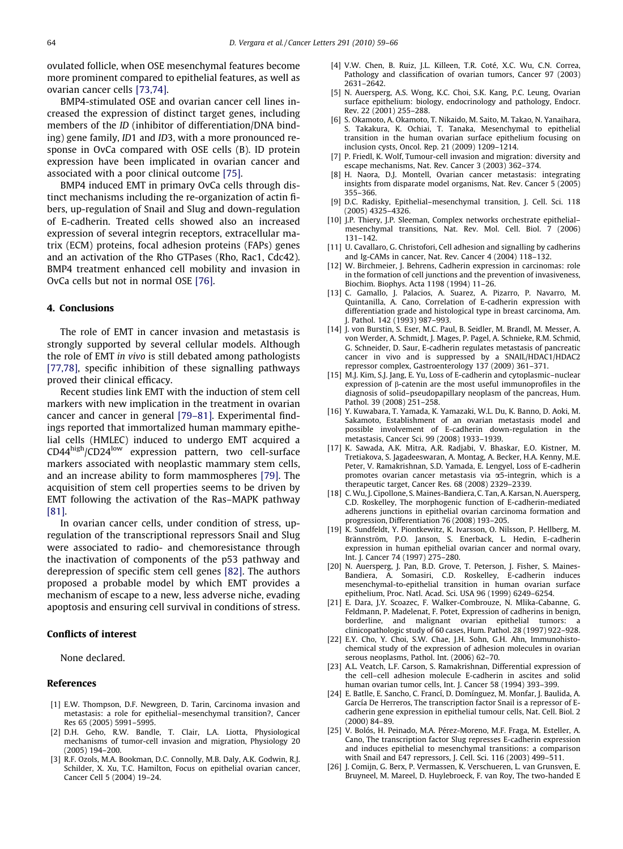<span id="page-5-0"></span>ovulated follicle, when OSE mesenchymal features become more prominent compared to epithelial features, as well as ovarian cancer cells [\[73,74\].](#page-7-0)

BMP4-stimulated OSE and ovarian cancer cell lines increased the expression of distinct target genes, including members of the ID (inhibitor of differentiation/DNA binding) gene family, ID1 and ID3, with a more pronounced response in OvCa compared with OSE cells (B). ID protein expression have been implicated in ovarian cancer and associated with a poor clinical outcome [\[75\]](#page-7-0).

BMP4 induced EMT in primary OvCa cells through distinct mechanisms including the re-organization of actin fibers, up-regulation of Snail and Slug and down-regulation of E-cadherin. Treated cells showed also an increased expression of several integrin receptors, extracellular matrix (ECM) proteins, focal adhesion proteins (FAPs) genes and an activation of the Rho GTPases (Rho, Rac1, Cdc42). BMP4 treatment enhanced cell mobility and invasion in OvCa cells but not in normal OSE [\[76\]](#page-7-0).

## 4. Conclusions

The role of EMT in cancer invasion and metastasis is strongly supported by several cellular models. Although the role of EMT in vivo is still debated among pathologists [\[77,78\]](#page-7-0), specific inhibition of these signalling pathways proved their clinical efficacy.

Recent studies link EMT with the induction of stem cell markers with new implication in the treatment in ovarian cancer and cancer in general [\[79–81\]](#page-7-0). Experimental findings reported that immortalized human mammary epithelial cells (HMLEC) induced to undergo EMT acquired a CD44high/CD24low expression pattern, two cell-surface markers associated with neoplastic mammary stem cells, and an increase ability to form mammospheres [\[79\]](#page-7-0). The acquisition of stem cell properties seems to be driven by EMT following the activation of the Ras–MAPK pathway [\[81\].](#page-7-0)

In ovarian cancer cells, under condition of stress, upregulation of the transcriptional repressors Snail and Slug were associated to radio- and chemoresistance through the inactivation of components of the p53 pathway and derepression of specific stem cell genes [\[82\].](#page-7-0) The authors proposed a probable model by which EMT provides a mechanism of escape to a new, less adverse niche, evading apoptosis and ensuring cell survival in conditions of stress.

## Conflicts of interest

None declared.

#### References

- [1] E.W. Thompson, D.F. Newgreen, D. Tarin, Carcinoma invasion and metastasis: a role for epithelial–mesenchymal transition?, Cancer Res 65 (2005) 5991–5995.
- [2] D.H. Geho, R.W. Bandle, T. Clair, L.A. Liotta, Physiological mechanisms of tumor-cell invasion and migration, Physiology 20 (2005) 194–200.
- [3] R.F. Ozols, M.A. Bookman, D.C. Connolly, M.B. Daly, A.K. Godwin, R.J. Schilder, X. Xu, T.C. Hamilton, Focus on epithelial ovarian cancer, Cancer Cell 5 (2004) 19–24.
- [4] V.W. Chen, B. Ruiz, J.L. Killeen, T.R. Coté, X.C. Wu, C.N. Correa, Pathology and classification of ovarian tumors, Cancer 97 (2003) 2631–2642.
- [5] N. Auersperg, A.S. Wong, K.C. Choi, S.K. Kang, P.C. Leung, Ovarian surface epithelium: biology, endocrinology and pathology, Endocr. Rev. 22 (2001) 255–288.
- [6] S. Okamoto, A. Okamoto, T. Nikaido, M. Saito, M. Takao, N. Yanaihara, S. Takakura, K. Ochiai, T. Tanaka, Mesenchymal to epithelial transition in the human ovarian surface epithelium focusing on inclusion cysts, Oncol. Rep. 21 (2009) 1209–1214.
- [7] P. Friedl, K. Wolf, Tumour-cell invasion and migration: diversity and escape mechanisms, Nat. Rev. Cancer 3 (2003) 362–374.
- [8] H. Naora, D.J. Montell, Ovarian cancer metastasis: integrating insights from disparate model organisms, Nat. Rev. Cancer 5 (2005) 355–366.
- [9] D.C. Radisky, Epithelial–mesenchymal transition, J. Cell. Sci. 118 (2005) 4325–4326.
- [10] J.P. Thiery, J.P. Sleeman, Complex networks orchestrate epithelial– mesenchymal transitions, Nat. Rev. Mol. Cell. Biol. 7 (2006) 131–142.
- [11] U. Cavallaro, G. Christofori, Cell adhesion and signalling by cadherins and Ig-CAMs in cancer, Nat. Rev. Cancer 4 (2004) 118–132.
- [12] W. Birchmeier, J. Behrens, Cadherin expression in carcinomas: role in the formation of cell junctions and the prevention of invasiveness, Biochim. Biophys. Acta 1198 (1994) 11–26.
- [13] C. Gamallo, J. Palacios, A. Suarez, A. Pizarro, P. Navarro, M. Quintanilla, A. Cano, Correlation of E-cadherin expression with differentiation grade and histological type in breast carcinoma, Am. J. Pathol. 142 (1993) 987–993.
- [14] J. von Burstin, S. Eser, M.C. Paul, B. Seidler, M. Brandl, M. Messer, A. von Werder, A. Schmidt, J. Mages, P. Pagel, A. Schnieke, R.M. Schmid, G. Schneider, D. Saur, E-cadherin regulates metastasis of pancreatic cancer in vivo and is suppressed by a SNAIL/HDAC1/HDAC2 repressor complex, Gastroenterology 137 (2009) 361–371.
- [15] M.J. Kim, S.J. Jang, E. Yu, Loss of E-cadherin and cytoplasmic–nuclear expression of  $\beta$ -catenin are the most useful immunoprofiles in the diagnosis of solid–pseudopapillary neoplasm of the pancreas, Hum. Pathol. 39 (2008) 251-258.
- [16] Y. Kuwabara, T. Yamada, K. Yamazaki, W.L. Du, K. Banno, D. Aoki, M. Sakamoto, Establishment of an ovarian metastasis model and possible involvement of E-cadherin down-regulation in the metastasis, Cancer Sci. 99 (2008) 1933–1939.
- [17] K. Sawada, A.K. Mitra, A.R. Radjabi, V. Bhaskar, E.O. Kistner, M. Tretiakova, S. Jagadeeswaran, A. Montag, A. Becker, H.A. Kenny, M.E. Peter, V. Ramakrishnan, S.D. Yamada, E. Lengyel, Loss of E-cadherin promotes ovarian cancer metastasis via  $\alpha$ 5-integrin, which is a therapeutic target, Cancer Res. 68 (2008) 2329–2339.
- [18] C.Wu, J. Cipollone, S. Maines-Bandiera, C. Tan, A. Karsan, N. Auersperg, C.D. Roskelley, The morphogenic function of E-cadherin-mediated adherens junctions in epithelial ovarian carcinoma formation and progression, Differentiation 76 (2008) 193–205.
- [19] K. Sundfeldt, Y. Piontkewitz, K. Ivarsson, O. Nilsson, P. Hellberg, M. Brännström, P.O. Janson, S. Enerback, L. Hedin, E-cadherin expression in human epithelial ovarian cancer and normal ovary, Int. J. Cancer 74 (1997) 275–280.
- [20] N. Auersperg, J. Pan, B.D. Grove, T. Peterson, J. Fisher, S. Maines-Bandiera, A. Somasiri, C.D. Roskelley, E-cadherin induces mesenchymal-to-epithelial transition in human ovarian surface epithelium, Proc. Natl. Acad. Sci. USA 96 (1999) 6249–6254.
- [21] E. Dara, J.Y. Scoazec, F. Walker-Combrouze, N. Mlika-Cabanne, G. Feldmann, P. Madelenat, F. Potet, Expression of cadherins in benign, borderline, and malignant ovarian epithelial tumors: a clinicopathologic study of 60 cases, Hum. Pathol. 28 (1997) 922–928.
- [22] E.Y. Cho, Y. Choi, S.W. Chae, J.H. Sohn, G.H. Ahn, Immunohistochemical study of the expression of adhesion molecules in ovarian serous neoplasms, Pathol. Int. (2006) 62–70.
- [23] A.L. Veatch, L.F. Carson, S. Ramakrishnan, Differential expression of the cell–cell adhesion molecule E-cadherin in ascites and solid human ovarian tumor cells, Int. J. Cancer 58 (1994) 393–399.
- [24] E. Batlle, E. Sancho, C. Francí, D. Domínguez, M. Monfar, J. Baulida, A. García De Herreros, The transcription factor Snail is a repressor of Ecadherin gene expression in epithelial tumour cells, Nat. Cell. Biol. 2 (2000) 84–89.
- [25] V. Bolós, H. Peinado, M.A. Pérez-Moreno, M.F. Fraga, M. Esteller, A. Cano, The transcription factor Slug represses E-cadherin expression and induces epithelial to mesenchymal transitions: a comparison with Snail and E47 repressors, J. Cell. Sci. 116 (2003) 499–511.
- [26] J. Comijn, G. Berx, P. Vermassen, K. Verschueren, L. van Grunsven, E. Bruyneel, M. Mareel, D. Huylebroeck, F. van Roy, The two-handed E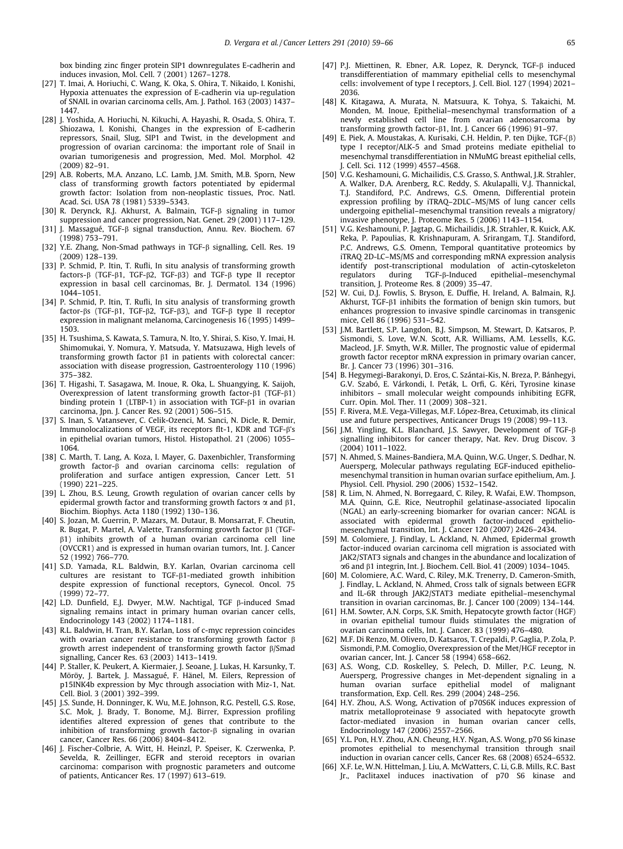<span id="page-6-0"></span>box binding zinc finger protein SIP1 downregulates E-cadherin and induces invasion, Mol. Cell. 7 (2001) 1267–1278.

- [27] T. Imai, A. Horiuchi, C. Wang, K. Oka, S. Ohira, T. Nikaido, I. Konishi, Hypoxia attenuates the expression of E-cadherin via up-regulation of SNAIL in ovarian carcinoma cells, Am. J. Pathol. 163 (2003) 1437– 1447.
- [28] J. Yoshida, A. Horiuchi, N. Kikuchi, A. Hayashi, R. Osada, S. Ohira, T. Shiozawa, I. Konishi, Changes in the expression of E-cadherin repressors, Snail, Slug, SIP1 and Twist, in the development and progression of ovarian carcinoma: the important role of Snail in ovarian tumorigenesis and progression, Med. Mol. Morphol. 42 (2009) 82–91.
- [29] A.B. Roberts, M.A. Anzano, L.C. Lamb, J.M. Smith, M.B. Sporn, New class of transforming growth factors potentiated by epidermal growth factor: Isolation from non-neoplastic tissues, Proc. Natl. Acad. Sci. USA 78 (1981) 5339–5343.
- [30] R. Derynck, R.J. Akhurst, A. Balmain, TGF-b signaling in tumor suppression and cancer progression, Nat. Genet. 29 (2001) 117–129.
- [31] J. Massagué, TGF-b signal transduction, Annu. Rev. Biochem. 67 (1998) 753–791.
- [32] Y.E. Zhang, Non-Smad pathways in TGF- $\beta$  signalling, Cell. Res. 19 (2009) 128–139.
- [33] P. Schmid, P. Itin, T. Rufli, In situ analysis of transforming growth factors- $\beta$  (TGF- $\beta$ 1, TGF- $\beta$ 2, TGF- $\beta$ 3) and TGF- $\beta$  type II receptor expression in basal cell carcinomas, Br. J. Dermatol. 134 (1996) 1044–1051.
- [34] P. Schmid, P. Itin, T. Rufli, In situ analysis of transforming growth factor- $\beta$ s (TGF- $\beta$ 1, TGF- $\beta$ 2, TGF- $\beta$ 3), and TGF- $\beta$  type II receptor expression in malignant melanoma, Carcinogenesis 16 (1995) 1499– 1503.
- [35] H. Tsushima, S. Kawata, S. Tamura, N. Ito, Y. Shirai, S. Kiso, Y. Imai, H. Shimomukai, Y. Nomura, Y. Matsuda, Y. Matsuzawa, High levels of transforming growth factor  $\beta1$  in patients with colorectal cancer: association with disease progression, Gastroenterology 110 (1996) 375–382.
- [36] T. Higashi, T. Sasagawa, M. Inoue, R. Oka, L. Shuangying, K. Saijoh, Overexpression of latent transforming growth factor- $\beta$ 1 (TGF- $\beta$ 1) binding protein 1 (LTBP-1) in association with TGF-<sup>B1</sup> in ovarian carcinoma, Jpn. J. Cancer Res. 92 (2001) 506–515.
- [37] S. Inan, S. Vatansever, C. Celik-Ozenci, M. Sanci, N. Dicle, R. Demir, Immunolocalizations of VEGF, its receptors flt-1, KDR and TGF-β's in epithelial ovarian tumors, Histol. Histopathol. 21 (2006) 1055– 1064.
- [38] C. Marth, T. Lang, A. Koza, I. Mayer, G. Daxenbichler, Transforming growth factor-b and ovarian carcinoma cells: regulation of proliferation and surface antigen expression, Cancer Lett. 51 (1990) 221–225.
- [39] L. Zhou, B.S. Leung, Growth regulation of ovarian cancer cells by epidermal growth factor and transforming growth factors  $\alpha$  and  $\beta$ 1, Biochim. Biophys. Acta 1180 (1992) 130–136.
- [40] S. Jozan, M. Guerrin, P. Mazars, M. Dutaur, B. Monsarrat, F. Cheutin, R. Bugat, P. Martel, A. Valette, Transforming growth factor  $\beta1$  (TGF- $\beta$ 1) inhibits growth of a human ovarian carcinoma cell line (OVCCR1) and is expressed in human ovarian tumors, Int. J. Cancer 52 (1992) 766–770.
- [41] S.D. Yamada, R.L. Baldwin, B.Y. Karlan, Ovarian carcinoma cell cultures are resistant to TGF- $\beta$ 1-mediated growth inhibition despite expression of functional receptors, Gynecol. Oncol. 75 (1999) 72–77.
- [42] L.D. Dunfield, E.J. Dwyer, M.W. Nachtigal, TGF  $\beta$ -induced Smad signaling remains intact in primary human ovarian cancer cells, Endocrinology 143 (2002) 1174–1181.
- [43] R.L. Baldwin, H. Tran, B.Y. Karlan, Loss of c-myc repression coincides with ovarian cancer resistance to transforming growth factor  $\beta$ growth arrest independent of transforming growth factor  $\beta$ /Smad signalling, Cancer Res. 63 (2003) 1413–1419.
- [44] P. Staller, K. Peukert, A. Kiermaier, J. Seoane, J. Lukas, H. Karsunky, T. Möröy, J. Bartek, J. Massagué, F. Hänel, M. Eilers, Repression of p15INK4b expression by Myc through association with Miz-1, Nat. Cell. Biol. 3 (2001) 392–399.
- [45] J.S. Sunde, H. Donninger, K. Wu, M.E. Johnson, R.G. Pestell, G.S. Rose, S.C. Mok, J. Brady, T. Bonome, M.J. Birrer, Expression profiling identifies altered expression of genes that contribute to the inhibition of transforming growth factor- $\beta$  signaling in ovarian cancer, Cancer Res. 66 (2006) 8404–8412.
- [46] J. Fischer-Colbrie, A. Witt, H. Heinzl, P. Speiser, K. Czerwenka, P. Sevelda, R. Zeillinger, EGFR and steroid receptors in ovarian carcinoma: comparison with prognostic parameters and outcome of patients, Anticancer Res. 17 (1997) 613–619.
- [47] P.J. Miettinen, R. Ebner, A.R. Lopez, R. Derynck, TGF-8 induced transdifferentiation of mammary epithelial cells to mesenchymal cells: involvement of type I receptors, J. Cell. Biol. 127 (1994) 2021– 2036.
- [48] K. Kitagawa, A. Murata, N. Matsuura, K. Tohya, S. Takaichi, M. Monden, M. Inoue, Epithelial–mesenchymal transformation of a newly established cell line from ovarian adenosarcoma by transforming growth factor- $\beta$ 1, Int. J. Cancer 66 (1996) 91-97.
- [49] E. Piek, A. Moustakas, A. Kurisaki, C.H. Heldin, P. ten Dijke, TGF-(b) type I receptor/ALK-5 and Smad proteins mediate epithelial to mesenchymal transdifferentiation in NMuMG breast epithelial cells, J. Cell. Sci. 112 (1999) 4557–4568.
- [50] V.G. Keshamouni, G. Michailidis, C.S. Grasso, S. Anthwal, J.R. Strahler, A. Walker, D.A. Arenberg, R.C. Reddy, S. Akulapalli, V.J. Thannickal, T.J. Standiford, P.C. Andrews, G.S. Omenn, Differential protein expression profiling by iTRAQ–2DLC–MS/MS of lung cancer cells undergoing epithelial–mesenchymal transition reveals a migratory/ invasive phenotype, J. Proteome Res. 5 (2006) 1143–1154.
- [51] V.G. Keshamouni, P. Jagtap, G. Michailidis, J.R. Strahler, R. Kuick, A.K. Reka, P. Papoulias, R. Krishnapuram, A. Srirangam, T.J. Standiford, P.C. Andrews, G.S. Omenn, Temporal quantitative proteomics by iTRAQ 2D-LC–MS/MS and corresponding mRNA expression analysis identify post-transcriptional modulation of actin-cytoskeleton<br>regulators during TGF-B-Induced epithelial-mesenchymal  $during$  TGF- $\beta$ -Induced epithelial–mesenchymal transition, J. Proteome Res. 8 (2009) 35–47.
- [52] W. Cui, D.J. Fowlis, S. Bryson, E. Duffie, H. Ireland, A. Balmain, R.J. Akhurst, TGF-ß1 inhibits the formation of benign skin tumors, but enhances progression to invasive spindle carcinomas in transgenic mice, Cell 86 (1996) 531–542.
- [53] J.M. Bartlett, S.P. Langdon, B.J. Simpson, M. Stewart, D. Katsaros, P. Sismondi, S. Love, W.N. Scott, A.R. Williams, A.M. Lessells, K.G. Macleod, J.F. Smyth, W.R. Miller, The prognostic value of epidermal growth factor receptor mRNA expression in primary ovarian cancer, Br. J. Cancer 73 (1996) 301–316.
- [54] B. Hegymegi-Barakonyi, D. Eros, C. Szántai-Kis, N. Breza, P. Bánhegyi, G.V. Szabó, E. Várkondi, I. Peták, L. Orfi, G. Kéri, Tyrosine kinase inhibitors – small molecular weight compounds inhibiting EGFR, Curr. Opin. Mol. Ther. 11 (2009) 308–321.
- [55] F. Rivera, M.E. Vega-Villegas, M.F. López-Brea, Cetuximab, its clinical use and future perspectives, Anticancer Drugs 19 (2008) 99–113.
- [56] J.M. Yingling, K.L. Blanchard, J.S. Sawyer, Development of TGF-b signalling inhibitors for cancer therapy, Nat. Rev. Drug Discov. 3 (2004) 1011–1022.
- [57] N. Ahmed, S. Maines-Bandiera, M.A. Quinn, W.G. Unger, S. Dedhar, N. Auersperg, Molecular pathways regulating EGF-induced epitheliomesenchymal transition in human ovarian surface epithelium, Am. J. Physiol. Cell. Physiol. 290 (2006) 1532–1542.
- [58] R. Lim, N. Ahmed, N. Borregaard, C. Riley, R. Wafai, E.W. Thompson, M.A. Quinn, G.E. Rice, Neutrophil gelatinase-associated lipocalin (NGAL) an early-screening biomarker for ovarian cancer: NGAL is associated with epidermal growth factor-induced epithelio-mesenchymal transition, Int. J. Cancer 120 (2007) 2426–2434.
- [59] M. Colomiere, J. Findlay, L. Ackland, N. Ahmed, Epidermal growth factor-induced ovarian carcinoma cell migration is associated with JAK2/STAT3 signals and changes in the abundance and localization of  $\alpha$ 6 and  $\beta$ 1 integrin, Int. J. Biochem. Cell. Biol. 41 (2009) 1034–1045.
- [60] M. Colomiere, A.C. Ward, C. Riley, M.K. Trenerry, D. Cameron-Smith, J. Findlay, L. Ackland, N. Ahmed, Cross talk of signals between EGFR and IL-6R through JAK2/STAT3 mediate epithelial–mesenchymal transition in ovarian carcinomas, Br. J. Cancer 100 (2009) 134–144.
- [61] H.M. Sowter, A.N. Corps, S.K. Smith, Hepatocyte growth factor (HGF) in ovarian epithelial tumour fluids stimulates the migration of ovarian carcinoma cells, Int. J. Cancer. 83 (1999) 476–480.
- [62] M.F. Di Renzo, M. Olivero, D. Katsaros, T. Crepaldi, P. Gaglia, P. Zola, P. Sismondi, P.M. Comoglio, Overexpression of the Met/HGF receptor in ovarian cancer, Int. J. Cancer 58 (1994) 658–662.
- [63] A.S. Wong, C.D. Roskelley, S. Pelech, D. Miller, P.C. Leung, N. Auersperg, Progressive changes in Met-dependent signaling in a human ovarian surface epithelial model of malignant transformation, Exp. Cell. Res. 299 (2004) 248–256.
- [64] H.Y. Zhou, A.S. Wong, Activation of p70S6K induces expression of matrix metalloproteinase 9 associated with hepatocyte growth factor-mediated invasion in human ovarian cancer cells, Endocrinology 147 (2006) 2557–2566.
- [65] Y.L. Pon, H.Y. Zhou, A.N. Cheung, H.Y. Ngan, A.S. Wong, p70 S6 kinase promotes epithelial to mesenchymal transition through snail induction in ovarian cancer cells, Cancer Res. 68 (2008) 6524–6532.
- [66] X.F. Le, W.N. Hittelman, J. Liu, A. McWatters, C. Li, G.B. Mills, R.C. Bast Jr., Paclitaxel induces inactivation of p70 S6 kinase and